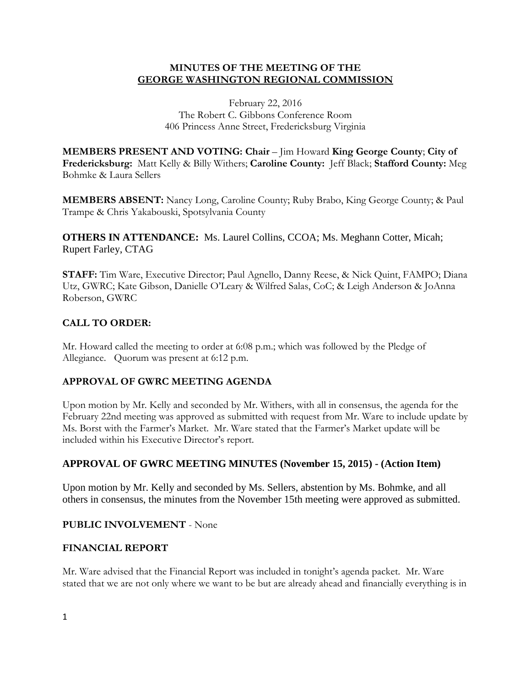### **MINUTES OF THE MEETING OF THE GEORGE WASHINGTON REGIONAL COMMISSION**

February 22, 2016 The Robert C. Gibbons Conference Room 406 Princess Anne Street, Fredericksburg Virginia

**MEMBERS PRESENT AND VOTING: Chair** – Jim Howard **King George County**; **City of Fredericksburg:** Matt Kelly & Billy Withers; **Caroline County:** Jeff Black; **Stafford County:** Meg Bohmke & Laura Sellers

**MEMBERS ABSENT:** Nancy Long, Caroline County; Ruby Brabo, King George County; & Paul Trampe & Chris Yakabouski, Spotsylvania County

**OTHERS IN ATTENDANCE:** Ms. Laurel Collins, CCOA; Ms. Meghann Cotter, Micah; Rupert Farley, CTAG

**STAFF:** Tim Ware, Executive Director; Paul Agnello, Danny Reese, & Nick Quint, FAMPO; Diana Utz, GWRC; Kate Gibson, Danielle O'Leary & Wilfred Salas, CoC; & Leigh Anderson & JoAnna Roberson, GWRC

## **CALL TO ORDER:**

Mr. Howard called the meeting to order at 6:08 p.m.; which was followed by the Pledge of Allegiance. Quorum was present at 6:12 p.m.

## **APPROVAL OF GWRC MEETING AGENDA**

Upon motion by Mr. Kelly and seconded by Mr. Withers, with all in consensus, the agenda for the February 22nd meeting was approved as submitted with request from Mr. Ware to include update by Ms. Borst with the Farmer's Market. Mr. Ware stated that the Farmer's Market update will be included within his Executive Director's report.

### **APPROVAL OF GWRC MEETING MINUTES (November 15, 2015) - (Action Item)**

Upon motion by Mr. Kelly and seconded by Ms. Sellers, abstention by Ms. Bohmke, and all others in consensus, the minutes from the November 15th meeting were approved as submitted.

### **PUBLIC INVOLVEMENT** - None

### **FINANCIAL REPORT**

Mr. Ware advised that the Financial Report was included in tonight's agenda packet. Mr. Ware stated that we are not only where we want to be but are already ahead and financially everything is in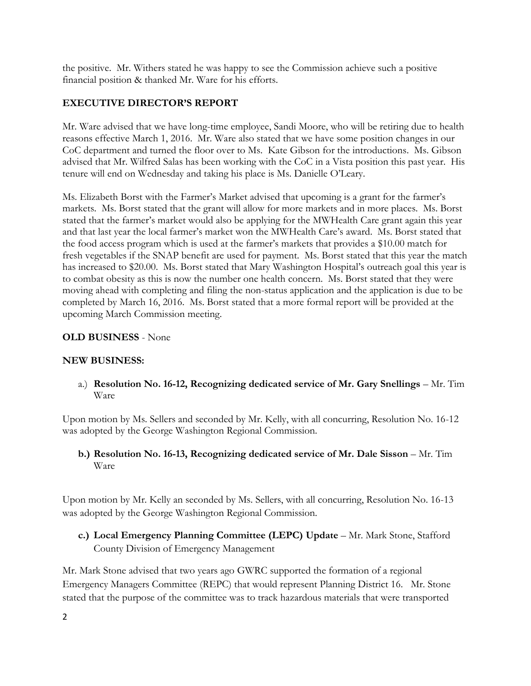the positive. Mr. Withers stated he was happy to see the Commission achieve such a positive financial position & thanked Mr. Ware for his efforts.

## **EXECUTIVE DIRECTOR'S REPORT**

Mr. Ware advised that we have long-time employee, Sandi Moore, who will be retiring due to health reasons effective March 1, 2016. Mr. Ware also stated that we have some position changes in our CoC department and turned the floor over to Ms. Kate Gibson for the introductions. Ms. Gibson advised that Mr. Wilfred Salas has been working with the CoC in a Vista position this past year. His tenure will end on Wednesday and taking his place is Ms. Danielle O'Leary.

Ms. Elizabeth Borst with the Farmer's Market advised that upcoming is a grant for the farmer's markets. Ms. Borst stated that the grant will allow for more markets and in more places. Ms. Borst stated that the farmer's market would also be applying for the MWHealth Care grant again this year and that last year the local farmer's market won the MWHealth Care's award. Ms. Borst stated that the food access program which is used at the farmer's markets that provides a \$10.00 match for fresh vegetables if the SNAP benefit are used for payment. Ms. Borst stated that this year the match has increased to \$20.00. Ms. Borst stated that Mary Washington Hospital's outreach goal this year is to combat obesity as this is now the number one health concern. Ms. Borst stated that they were moving ahead with completing and filing the non-status application and the application is due to be completed by March 16, 2016. Ms. Borst stated that a more formal report will be provided at the upcoming March Commission meeting.

### **OLD BUSINESS** - None

### **NEW BUSINESS:**

a.) **Resolution No. 16-12, Recognizing dedicated service of Mr. Gary Snellings** – Mr. Tim Ware

Upon motion by Ms. Sellers and seconded by Mr. Kelly, with all concurring, Resolution No. 16-12 was adopted by the George Washington Regional Commission.

**b.) Resolution No. 16-13, Recognizing dedicated service of Mr. Dale Sisson** – Mr. Tim Ware

Upon motion by Mr. Kelly an seconded by Ms. Sellers, with all concurring, Resolution No. 16-13 was adopted by the George Washington Regional Commission.

**c.) Local Emergency Planning Committee (LEPC) Update** – Mr. Mark Stone, Stafford County Division of Emergency Management

Mr. Mark Stone advised that two years ago GWRC supported the formation of a regional Emergency Managers Committee (REPC) that would represent Planning District 16. Mr. Stone stated that the purpose of the committee was to track hazardous materials that were transported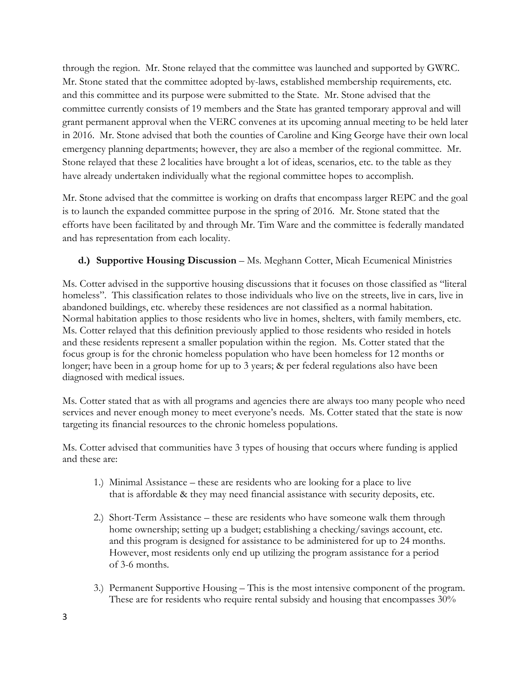through the region. Mr. Stone relayed that the committee was launched and supported by GWRC. Mr. Stone stated that the committee adopted by-laws, established membership requirements, etc. and this committee and its purpose were submitted to the State. Mr. Stone advised that the committee currently consists of 19 members and the State has granted temporary approval and will grant permanent approval when the VERC convenes at its upcoming annual meeting to be held later in 2016. Mr. Stone advised that both the counties of Caroline and King George have their own local emergency planning departments; however, they are also a member of the regional committee. Mr. Stone relayed that these 2 localities have brought a lot of ideas, scenarios, etc. to the table as they have already undertaken individually what the regional committee hopes to accomplish.

Mr. Stone advised that the committee is working on drafts that encompass larger REPC and the goal is to launch the expanded committee purpose in the spring of 2016. Mr. Stone stated that the efforts have been facilitated by and through Mr. Tim Ware and the committee is federally mandated and has representation from each locality.

# **d.) Supportive Housing Discussion – Ms. Meghann Cotter, Micah Ecumenical Ministries**

Ms. Cotter advised in the supportive housing discussions that it focuses on those classified as "literal homeless". This classification relates to those individuals who live on the streets, live in cars, live in abandoned buildings, etc. whereby these residences are not classified as a normal habitation. Normal habitation applies to those residents who live in homes, shelters, with family members, etc. Ms. Cotter relayed that this definition previously applied to those residents who resided in hotels and these residents represent a smaller population within the region. Ms. Cotter stated that the focus group is for the chronic homeless population who have been homeless for 12 months or longer; have been in a group home for up to 3 years; & per federal regulations also have been diagnosed with medical issues.

Ms. Cotter stated that as with all programs and agencies there are always too many people who need services and never enough money to meet everyone's needs. Ms. Cotter stated that the state is now targeting its financial resources to the chronic homeless populations.

Ms. Cotter advised that communities have 3 types of housing that occurs where funding is applied and these are:

- 1.) Minimal Assistance these are residents who are looking for a place to live that is affordable & they may need financial assistance with security deposits, etc.
- 2.) Short-Term Assistance these are residents who have someone walk them through home ownership; setting up a budget; establishing a checking/savings account, etc. and this program is designed for assistance to be administered for up to 24 months. However, most residents only end up utilizing the program assistance for a period of 3-6 months.
- 3.) Permanent Supportive Housing This is the most intensive component of the program. These are for residents who require rental subsidy and housing that encompasses 30%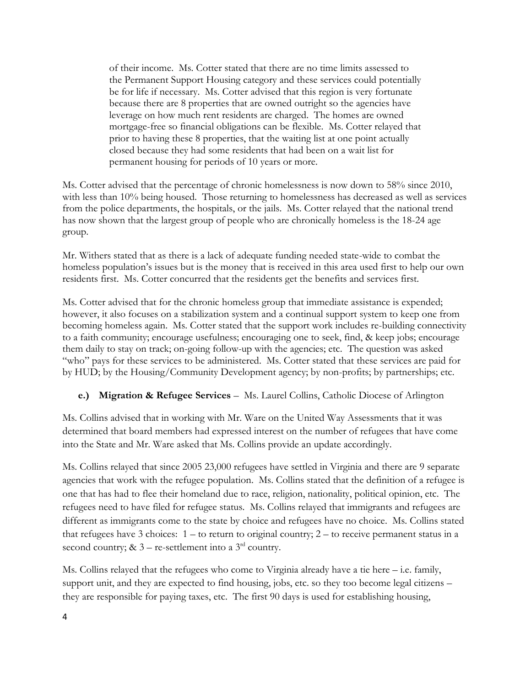of their income. Ms. Cotter stated that there are no time limits assessed to the Permanent Support Housing category and these services could potentially be for life if necessary. Ms. Cotter advised that this region is very fortunate because there are 8 properties that are owned outright so the agencies have leverage on how much rent residents are charged. The homes are owned mortgage-free so financial obligations can be flexible. Ms. Cotter relayed that prior to having these 8 properties, that the waiting list at one point actually closed because they had some residents that had been on a wait list for permanent housing for periods of 10 years or more.

Ms. Cotter advised that the percentage of chronic homelessness is now down to 58% since 2010, with less than 10% being housed. Those returning to homelessness has decreased as well as services from the police departments, the hospitals, or the jails. Ms. Cotter relayed that the national trend has now shown that the largest group of people who are chronically homeless is the 18-24 age group.

Mr. Withers stated that as there is a lack of adequate funding needed state-wide to combat the homeless population's issues but is the money that is received in this area used first to help our own residents first. Ms. Cotter concurred that the residents get the benefits and services first.

Ms. Cotter advised that for the chronic homeless group that immediate assistance is expended; however, it also focuses on a stabilization system and a continual support system to keep one from becoming homeless again. Ms. Cotter stated that the support work includes re-building connectivity to a faith community; encourage usefulness; encouraging one to seek, find, & keep jobs; encourage them daily to stay on track; on-going follow-up with the agencies; etc. The question was asked "who" pays for these services to be administered. Ms. Cotter stated that these services are paid for by HUD; by the Housing/Community Development agency; by non-profits; by partnerships; etc.

### **e.) Migration & Refugee Services** – Ms. Laurel Collins, Catholic Diocese of Arlington

Ms. Collins advised that in working with Mr. Ware on the United Way Assessments that it was determined that board members had expressed interest on the number of refugees that have come into the State and Mr. Ware asked that Ms. Collins provide an update accordingly.

Ms. Collins relayed that since 2005 23,000 refugees have settled in Virginia and there are 9 separate agencies that work with the refugee population. Ms. Collins stated that the definition of a refugee is one that has had to flee their homeland due to race, religion, nationality, political opinion, etc. The refugees need to have filed for refugee status. Ms. Collins relayed that immigrants and refugees are different as immigrants come to the state by choice and refugees have no choice. Ms. Collins stated that refugees have 3 choices: 1 – to return to original country; 2 – to receive permanent status in a second country; &  $3$  – re-settlement into a  $3<sup>rd</sup>$  country.

Ms. Collins relayed that the refugees who come to Virginia already have a tie here – i.e. family, support unit, and they are expected to find housing, jobs, etc. so they too become legal citizens – they are responsible for paying taxes, etc. The first 90 days is used for establishing housing,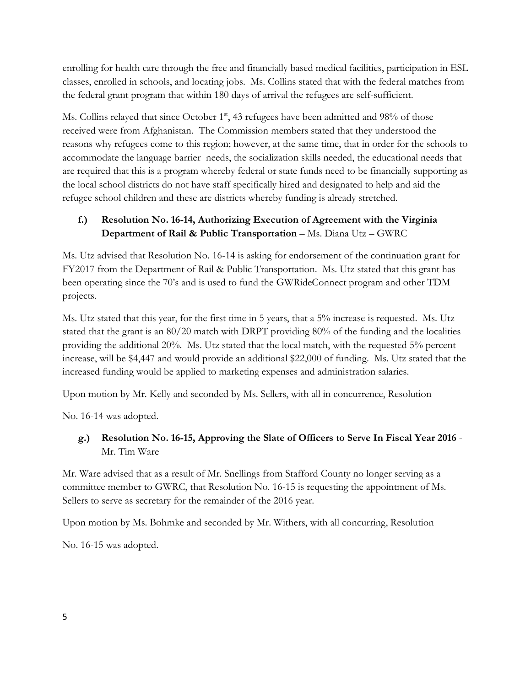enrolling for health care through the free and financially based medical facilities, participation in ESL classes, enrolled in schools, and locating jobs. Ms. Collins stated that with the federal matches from the federal grant program that within 180 days of arrival the refugees are self-sufficient.

Ms. Collins relayed that since October  $1<sup>st</sup>$ , 43 refugees have been admitted and 98% of those received were from Afghanistan. The Commission members stated that they understood the reasons why refugees come to this region; however, at the same time, that in order for the schools to accommodate the language barrier needs, the socialization skills needed, the educational needs that are required that this is a program whereby federal or state funds need to be financially supporting as the local school districts do not have staff specifically hired and designated to help and aid the refugee school children and these are districts whereby funding is already stretched.

# **f.) Resolution No. 16-14, Authorizing Execution of Agreement with the Virginia Department of Rail & Public Transportation - Ms. Diana Utz - GWRC**

Ms. Utz advised that Resolution No. 16-14 is asking for endorsement of the continuation grant for FY2017 from the Department of Rail & Public Transportation. Ms. Utz stated that this grant has been operating since the 70's and is used to fund the GWRideConnect program and other TDM projects.

Ms. Utz stated that this year, for the first time in 5 years, that a 5% increase is requested. Ms. Utz stated that the grant is an 80/20 match with DRPT providing 80% of the funding and the localities providing the additional 20%. Ms. Utz stated that the local match, with the requested 5% percent increase, will be \$4,447 and would provide an additional \$22,000 of funding. Ms. Utz stated that the increased funding would be applied to marketing expenses and administration salaries.

Upon motion by Mr. Kelly and seconded by Ms. Sellers, with all in concurrence, Resolution

No. 16-14 was adopted.

# **g.) Resolution No. 16-15, Approving the Slate of Officers to Serve In Fiscal Year 2016** - Mr. Tim Ware

Mr. Ware advised that as a result of Mr. Snellings from Stafford County no longer serving as a committee member to GWRC, that Resolution No. 16-15 is requesting the appointment of Ms. Sellers to serve as secretary for the remainder of the 2016 year.

Upon motion by Ms. Bohmke and seconded by Mr. Withers, with all concurring, Resolution

No. 16-15 was adopted.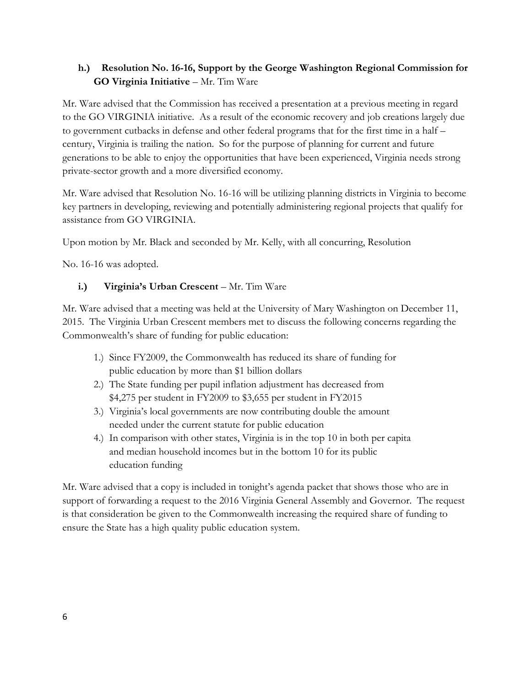## **h.) Resolution No. 16-16, Support by the George Washington Regional Commission for GO Virginia Initiative** – Mr. Tim Ware

Mr. Ware advised that the Commission has received a presentation at a previous meeting in regard to the GO VIRGINIA initiative. As a result of the economic recovery and job creations largely due to government cutbacks in defense and other federal programs that for the first time in a half – century, Virginia is trailing the nation. So for the purpose of planning for current and future generations to be able to enjoy the opportunities that have been experienced, Virginia needs strong private-sector growth and a more diversified economy.

Mr. Ware advised that Resolution No. 16-16 will be utilizing planning districts in Virginia to become key partners in developing, reviewing and potentially administering regional projects that qualify for assistance from GO VIRGINIA.

Upon motion by Mr. Black and seconded by Mr. Kelly, with all concurring, Resolution

No. 16-16 was adopted.

## **i.) Virginia's Urban Crescent** – Mr. Tim Ware

Mr. Ware advised that a meeting was held at the University of Mary Washington on December 11, 2015. The Virginia Urban Crescent members met to discuss the following concerns regarding the Commonwealth's share of funding for public education:

- 1.) Since FY2009, the Commonwealth has reduced its share of funding for public education by more than \$1 billion dollars
- 2.) The State funding per pupil inflation adjustment has decreased from \$4,275 per student in FY2009 to \$3,655 per student in FY2015
- 3.) Virginia's local governments are now contributing double the amount needed under the current statute for public education
- 4.) In comparison with other states, Virginia is in the top 10 in both per capita and median household incomes but in the bottom 10 for its public education funding

Mr. Ware advised that a copy is included in tonight's agenda packet that shows those who are in support of forwarding a request to the 2016 Virginia General Assembly and Governor. The request is that consideration be given to the Commonwealth increasing the required share of funding to ensure the State has a high quality public education system.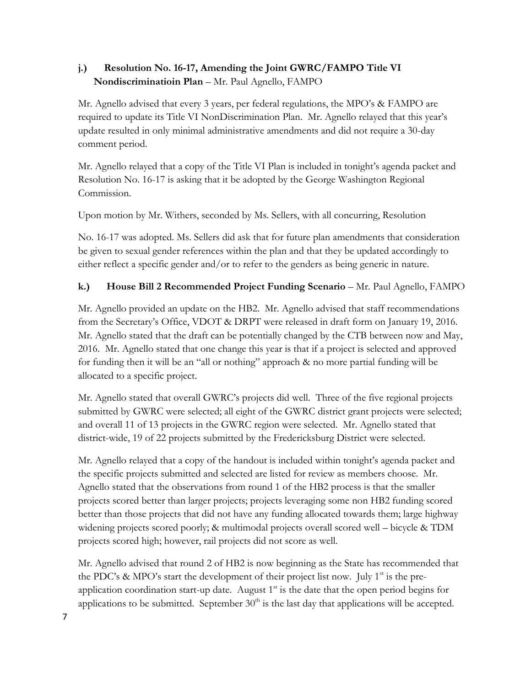# **j.) Resolution No. 16-17, Amending the Joint GWRC/FAMPO Title VI Nondiscriminatioin Plan** – Mr. Paul Agnello, FAMPO

Mr. Agnello advised that every 3 years, per federal regulations, the MPO's & FAMPO are required to update its Title VI NonDiscrimination Plan. Mr. Agnello relayed that this year's update resulted in only minimal administrative amendments and did not require a 30-day comment period.

Mr. Agnello relayed that a copy of the Title VI Plan is included in tonight's agenda packet and Resolution No. 16-17 is asking that it be adopted by the George Washington Regional Commission.

Upon motion by Mr. Withers, seconded by Ms. Sellers, with all concurring, Resolution

No. 16-17 was adopted. Ms. Sellers did ask that for future plan amendments that consideration be given to sexual gender references within the plan and that they be updated accordingly to either reflect a specific gender and/or to refer to the genders as being generic in nature.

# **k.)** House Bill 2 Recommended Project Funding Scenario – Mr. Paul Agnello, FAMPO

Mr. Agnello provided an update on the HB2. Mr. Agnello advised that staff recommendations from the Secretary's Office, VDOT & DRPT were released in draft form on January 19, 2016. Mr. Agnello stated that the draft can be potentially changed by the CTB between now and May, 2016. Mr. Agnello stated that one change this year is that if a project is selected and approved for funding then it will be an "all or nothing" approach & no more partial funding will be allocated to a specific project.

Mr. Agnello stated that overall GWRC's projects did well. Three of the five regional projects submitted by GWRC were selected; all eight of the GWRC district grant projects were selected; and overall 11 of 13 projects in the GWRC region were selected. Mr. Agnello stated that district-wide, 19 of 22 projects submitted by the Fredericksburg District were selected.

Mr. Agnello relayed that a copy of the handout is included within tonight's agenda packet and the specific projects submitted and selected are listed for review as members choose. Mr. Agnello stated that the observations from round 1 of the HB2 process is that the smaller projects scored better than larger projects; projects leveraging some non HB2 funding scored better than those projects that did not have any funding allocated towards them; large highway widening projects scored poorly; & multimodal projects overall scored well – bicycle & TDM projects scored high; however, rail projects did not score as well.

Mr. Agnello advised that round 2 of HB2 is now beginning as the State has recommended that the PDC's & MPO's start the development of their project list now. July  $1<sup>st</sup>$  is the preapplication coordination start-up date. August  $1<sup>st</sup>$  is the date that the open period begins for applications to be submitted. September  $30<sup>th</sup>$  is the last day that applications will be accepted.